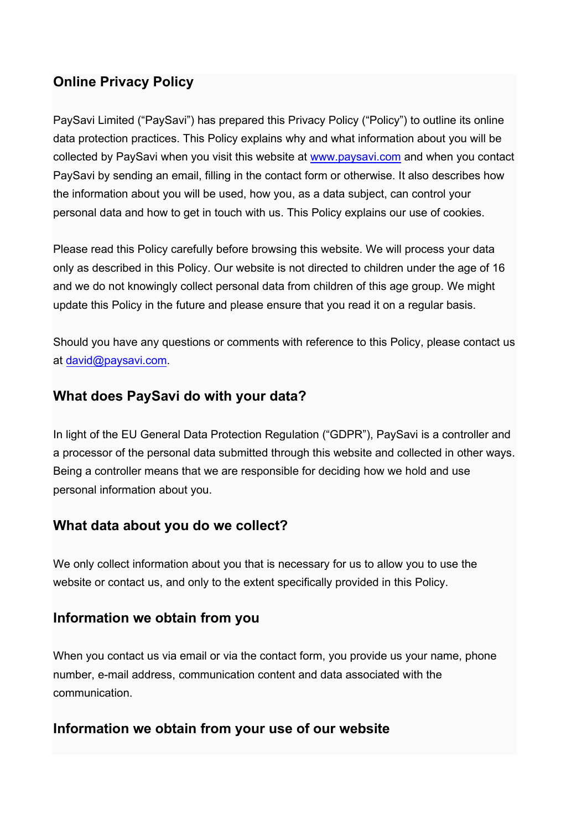# **Online Privacy Policy**

PaySavi Limited ("PaySavi") has prepared this Privacy Policy ("Policy") to outline its online data protection practices. This Policy explains why and what information about you will be collected by PaySavi when you visit this website at [www.paysavi.com](http://www.paysavi.com/) and when you contact PaySavi by sending an email, filling in the contact form or otherwise. It also describes how the information about you will be used, how you, as a data subject, can control your personal data and how to get in touch with us. This Policy explains our use of cookies.

Please read this Policy carefully before browsing this website. We will process your data only as described in this Policy. Our website is not directed to children under the age of 16 and we do not knowingly collect personal data from children of this age group. We might update this Policy in the future and please ensure that you read it on a regular basis.

Should you have any questions or comments with reference to this Policy, please contact us at [david@paysavi.com.](mailto:david@paysavi.com/)

### **What does PaySavi do with your data?**

In light of the EU General Data Protection Regulation ("GDPR"), PaySavi is a controller and a processor of the personal data submitted through this website and collected in other ways. Being a controller means that we are responsible for deciding how we hold and use personal information about you.

### **What data about you do we collect?**

We only collect information about you that is necessary for us to allow you to use the website or contact us, and only to the extent specifically provided in this Policy.

### **Information we obtain from you**

When you contact us via email or via the contact form, you provide us your name, phone number, e-mail address, communication content and data associated with the communication.

### **Information we obtain from your use of our website**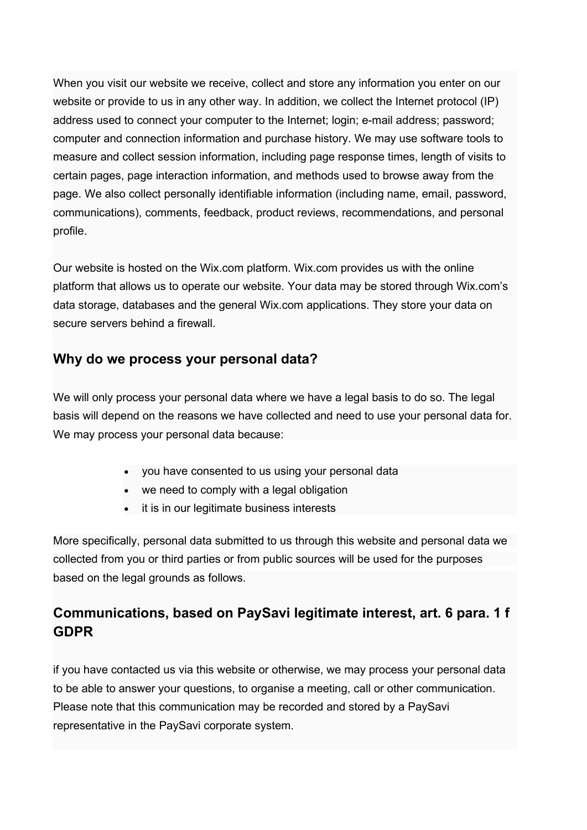When you visit our website we receive, collect and store any information you enter on our website or provide to us in any other way. In addition, we collect the Internet protocol (IP) address used to connect your computer to the Internet; login; e-mail address; password; computer and connection information and purchase history. We may use software tools to measure and collect session information, including page response times, length of visits to certain pages, page interaction information, and methods used to browse away from the page. We also collect personally identifiable information (including name, email, password, communications), comments, feedback, product reviews, recommendations, and personal profile.

Our website is hosted on the Wix.com platform. Wix.com provides us with the online platform that allows us to operate our website. Your data may be stored through Wix.com's data storage, databases and the general Wix.com applications. They store your data on secure servers behind a firewall.

## **Why do we process your personal data?**

We will only process your personal data where we have a legal basis to do so. The legal basis will depend on the reasons we have collected and need to use your personal data for. We may process your personal data because:

- you have consented to us using your personal data
- we need to comply with a legal obligation
- it is in our legitimate business interests

More specifically, personal data submitted to us through this website and personal data we collected from you or third parties or from public sources will be used for the purposes based on the legal grounds as follows.

# **Communications, based on PaySavi legitimate interest, art. 6 para. 1 f GDPR**

if you have contacted us via this website or otherwise, we may process your personal data to be able to answer your questions, to organise a meeting, call or other communication. Please note that this communication may be recorded and stored by a PaySavi representative in the PaySavi corporate system.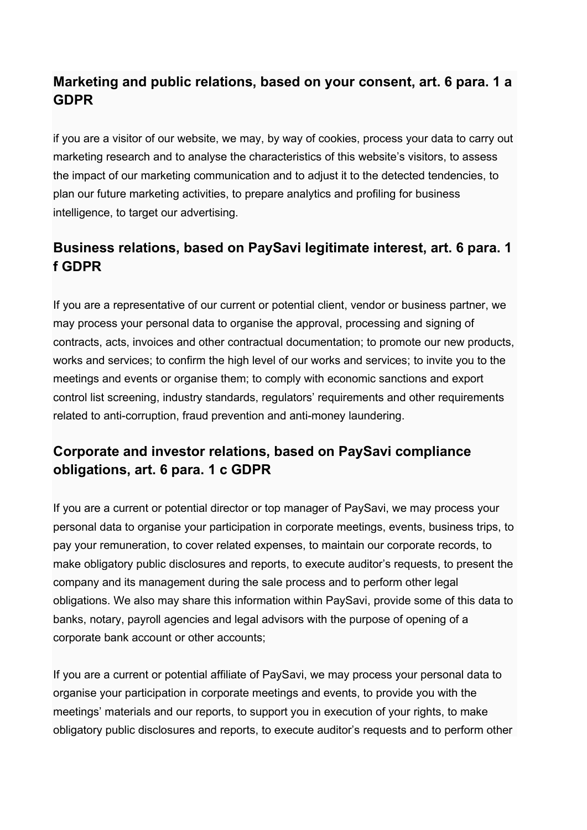# **Marketing and public relations, based on your consent, art. 6 para. 1 a GDPR**

if you are a visitor of our website, we may, by way of cookies, process your data to carry out marketing research and to analyse the characteristics of this website's visitors, to assess the impact of our marketing communication and to adjust it to the detected tendencies, to plan our future marketing activities, to prepare analytics and profiling for business intelligence, to target our advertising.

# **Business relations, based on PaySavi legitimate interest, art. 6 para. 1 f GDPR**

If you are a representative of our current or potential client, vendor or business partner, we may process your personal data to organise the approval, processing and signing of contracts, acts, invoices and other contractual documentation; to promote our new products, works and services; to confirm the high level of our works and services; to invite you to the meetings and events or organise them; to comply with economic sanctions and export control list screening, industry standards, regulators' requirements and other requirements related to anti-corruption, fraud prevention and anti-money laundering.

# **Corporate and investor relations, based on PaySavi compliance obligations, art. 6 para. 1 c GDPR**

If you are a current or potential director or top manager of PaySavi, we may process your personal data to organise your participation in corporate meetings, events, business trips, to pay your remuneration, to cover related expenses, to maintain our corporate records, to make obligatory public disclosures and reports, to execute auditor's requests, to present the company and its management during the sale process and to perform other legal obligations. We also may share this information within PaySavi, provide some of this data to banks, notary, payroll agencies and legal advisors with the purpose of opening of a corporate bank account or other accounts;

If you are a current or potential affiliate of PaySavi, we may process your personal data to organise your participation in corporate meetings and events, to provide you with the meetings' materials and our reports, to support you in execution of your rights, to make obligatory public disclosures and reports, to execute auditor's requests and to perform other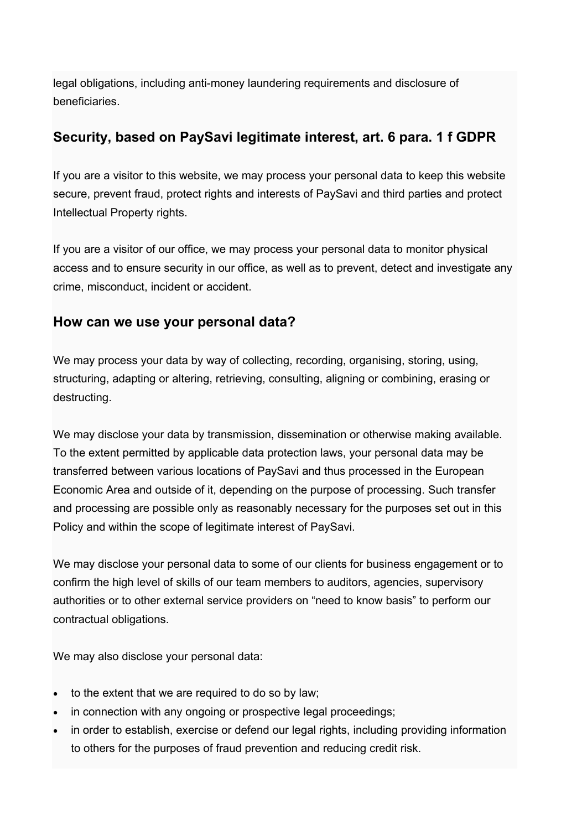legal obligations, including anti-money laundering requirements and disclosure of beneficiaries.

## **Security, based on PaySavi legitimate interest, art. 6 para. 1 f GDPR**

If you are a visitor to this website, we may process your personal data to keep this website secure, prevent fraud, protect rights and interests of PaySavi and third parties and protect Intellectual Property rights.

If you are a visitor of our office, we may process your personal data to monitor physical access and to ensure security in our office, as well as to prevent, detect and investigate any crime, misconduct, incident or accident.

### **How can we use your personal data?**

We may process your data by way of collecting, recording, organising, storing, using, structuring, adapting or altering, retrieving, consulting, aligning or combining, erasing or destructing.

We may disclose your data by transmission, dissemination or otherwise making available. To the extent permitted by applicable data protection laws, your personal data may be transferred between various locations of PaySavi and thus processed in the European Economic Area and outside of it, depending on the purpose of processing. Such transfer and processing are possible only as reasonably necessary for the purposes set out in this Policy and within the scope of legitimate interest of PaySavi.

We may disclose your personal data to some of our clients for business engagement or to confirm the high level of skills of our team members to auditors, agencies, supervisory authorities or to other external service providers on "need to know basis" to perform our contractual obligations.

We may also disclose your personal data:

- to the extent that we are required to do so by law;
- in connection with any ongoing or prospective legal proceedings;
- in order to establish, exercise or defend our legal rights, including providing information to others for the purposes of fraud prevention and reducing credit risk.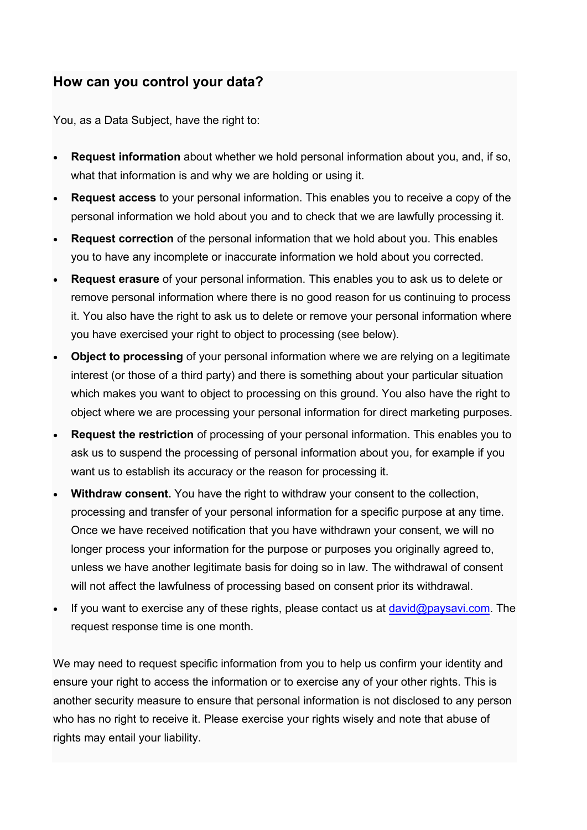## **How can you control your data?**

You, as a Data Subject, have the right to:

- **Request information** about whether we hold personal information about you, and, if so, what that information is and why we are holding or using it.
- **Request access** to your personal information. This enables you to receive a copy of the personal information we hold about you and to check that we are lawfully processing it.
- **Request correction** of the personal information that we hold about you. This enables you to have any incomplete or inaccurate information we hold about you corrected.
- **Request erasure** of your personal information. This enables you to ask us to delete or remove personal information where there is no good reason for us continuing to process it. You also have the right to ask us to delete or remove your personal information where you have exercised your right to object to processing (see below).
- **Object to processing** of your personal information where we are relying on a legitimate interest (or those of a third party) and there is something about your particular situation which makes you want to object to processing on this ground. You also have the right to object where we are processing your personal information for direct marketing purposes.
- **Request the restriction** of processing of your personal information. This enables you to ask us to suspend the processing of personal information about you, for example if you want us to establish its accuracy or the reason for processing it.
- **Withdraw consent.** You have the right to withdraw your consent to the collection, processing and transfer of your personal information for a specific purpose at any time. Once we have received notification that you have withdrawn your consent, we will no longer process your information for the purpose or purposes you originally agreed to, unless we have another legitimate basis for doing so in law. The withdrawal of consent will not affect the lawfulness of processing based on consent prior its withdrawal.
- If you want to exercise any of these rights, please contact us at  $david@paysavi.com$  $david@paysavi.com$ . The request response time is one month.

We may need to request specific information from you to help us confirm your identity and ensure your right to access the information or to exercise any of your other rights. This is another security measure to ensure that personal information is not disclosed to any person who has no right to receive it. Please exercise your rights wisely and note that abuse of rights may entail your liability.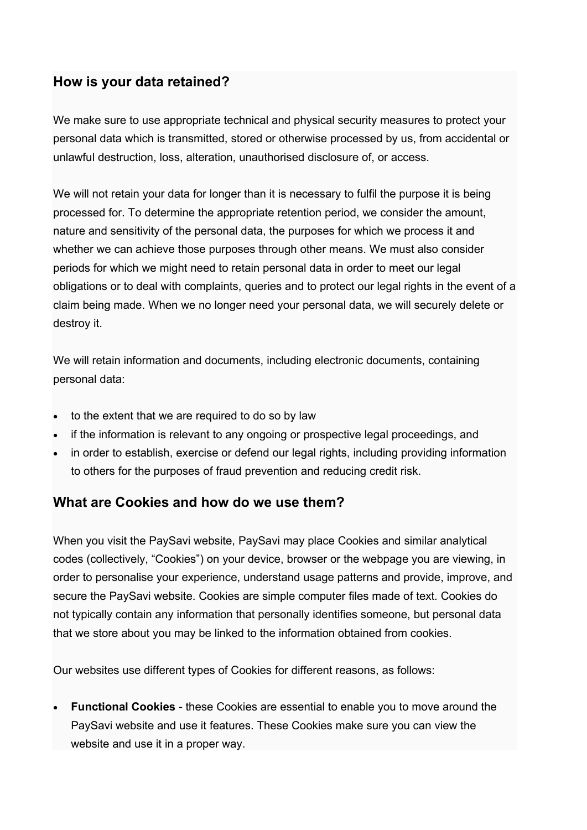## **How is your data retained?**

We make sure to use appropriate technical and physical security measures to protect your personal data which is transmitted, stored or otherwise processed by us, from accidental or unlawful destruction, loss, alteration, unauthorised disclosure of, or access.

We will not retain your data for longer than it is necessary to fulfil the purpose it is being processed for. To determine the appropriate retention period, we consider the amount, nature and sensitivity of the personal data, the purposes for which we process it and whether we can achieve those purposes through other means. We must also consider periods for which we might need to retain personal data in order to meet our legal obligations or to deal with complaints, queries and to protect our legal rights in the event of a claim being made. When we no longer need your personal data, we will securely delete or destroy it.

We will retain information and documents, including electronic documents, containing personal data:

- to the extent that we are required to do so by law
- if the information is relevant to any ongoing or prospective legal proceedings, and
- in order to establish, exercise or defend our legal rights, including providing information to others for the purposes of fraud prevention and reducing credit risk.

### **What are Cookies and how do we use them?**

When you visit the PaySavi website, PaySavi may place Cookies and similar analytical codes (collectively, "Cookies") on your device, browser or the webpage you are viewing, in order to personalise your experience, understand usage patterns and provide, improve, and secure the PaySavi website. Cookies are simple computer files made of text. Cookies do not typically contain any information that personally identifies someone, but personal data that we store about you may be linked to the information obtained from cookies.

Our websites use different types of Cookies for different reasons, as follows:

• **Functional Cookies** - these Cookies are essential to enable you to move around the PaySavi website and use it features. These Cookies make sure you can view the website and use it in a proper way.